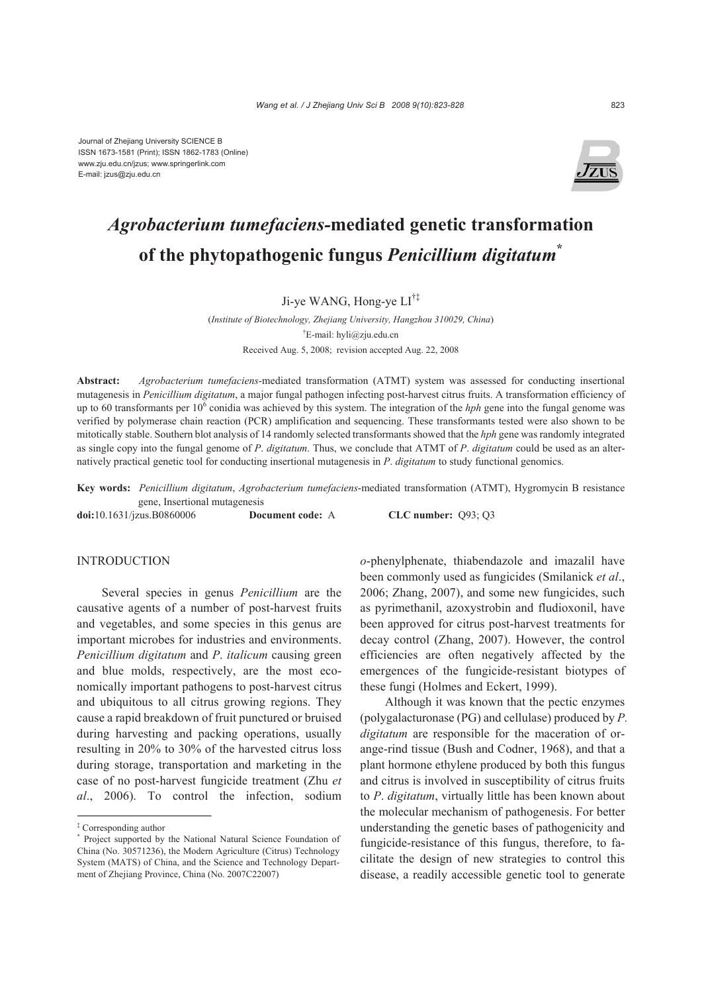

# *Agrobacterium tumefaciens-***mediated genetic transformation of the phytopathogenic fungus** *Penicillium digitatum***\***

## Ji-ye WANG, Hong-ye LI†‡

(*Institute of Biotechnology, Zhejiang University, Hangzhou 310029, China*) † E-mail: hyli@zju.edu.cn Received Aug. 5, 2008; revision accepted Aug. 22, 2008

**Abstract:** *Agrobacterium tumefaciens-*mediated transformation (ATMT) system was assessed for conducting insertional mutagenesis in *Penicillium digitatum*, a major fungal pathogen infecting post-harvest citrus fruits. A transformation efficiency of up to 60 transformants per 10<sup>6</sup> conidia was achieved by this system. The integration of the *hph* gene into the fungal genome was verified by polymerase chain reaction (PCR) amplification and sequencing. These transformants tested were also shown to be mitotically stable. Southern blot analysis of 14 randomly selected transformants showed that the *hph* gene was randomly integrated as single copy into the fungal genome of *P*. *digitatum*. Thus, we conclude that ATMT of *P*. *digitatum* could be used as an alternatively practical genetic tool for conducting insertional mutagenesis in *P*. *digitatum* to study functional genomics.

**Key words:** *Penicillium digitatum*, *Agrobacterium tumefaciens*-mediated transformation (ATMT), Hygromycin B resistance gene, Insertional mutagenesis

**doi:**10.1631/jzus.B0860006 **Document code:** A **CLC number:** Q93; Q3

## **INTRODUCTION**

Several species in genus *Penicillium* are the causative agents of a number of post-harvest fruits and vegetables, and some species in this genus are important microbes for industries and environments. *Penicillium digitatum* and *P*. *italicum* causing green and blue molds, respectively, are the most economically important pathogens to post-harvest citrus and ubiquitous to all citrus growing regions. They cause a rapid breakdown of fruit punctured or bruised during harvesting and packing operations, usually resulting in 20% to 30% of the harvested citrus loss during storage, transportation and marketing in the case of no post-harvest fungicide treatment (Zhu *et al*., 2006). To control the infection, sodium

*o*-phenylphenate, thiabendazole and imazalil have been commonly used as fungicides (Smilanick *et al*., 2006; Zhang, 2007), and some new fungicides, such as pyrimethanil, azoxystrobin and fludioxonil, have been approved for citrus post-harvest treatments for decay control (Zhang, 2007). However, the control efficiencies are often negatively affected by the emergences of the fungicide-resistant biotypes of these fungi (Holmes and Eckert, 1999).

Although it was known that the pectic enzymes (polygalacturonase (PG) and cellulase) produced by *P. digitatum* are responsible for the maceration of orange-rind tissue (Bush and Codner, 1968), and that a plant hormone ethylene produced by both this fungus and citrus is involved in susceptibility of citrus fruits to *P*. *digitatum*, virtually little has been known about the molecular mechanism of pathogenesis. For better understanding the genetic bases of pathogenicity and fungicide-resistance of this fungus, therefore, to facilitate the design of new strategies to control this disease, a readily accessible genetic tool to generate

<sup>‡</sup> Corresponding author

<sup>\*</sup> Project supported by the National Natural Science Foundation of China (No. 30571236), the Modern Agriculture (Citrus) Technology System (MATS) of China, and the Science and Technology Department of Zhejiang Province, China (No. 2007C22007)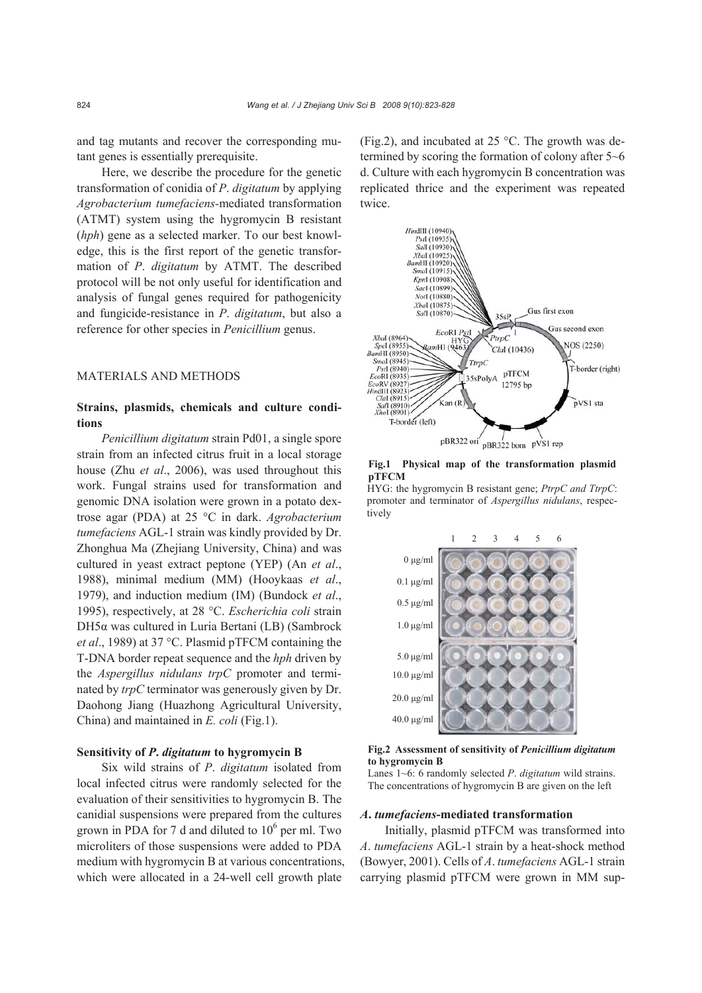and tag mutants and recover the corresponding mutant genes is essentially prerequisite.

Here, we describe the procedure for the genetic transformation of conidia of *P*. *digitatum* by applying *Agrobacterium tumefaciens-*mediated transformation (ATMT) system using the hygromycin B resistant (*hph*) gene as a selected marker. To our best knowledge, this is the first report of the genetic transformation of *P*. *digitatum* by ATMT. The described protocol will be not only useful for identification and analysis of fungal genes required for pathogenicity and fungicide-resistance in *P*. *digitatum*, but also a reference for other species in *Penicillium* genus.

## MATERIALS AND METHODS

## **Strains, plasmids, chemicals and culture conditions**

*Penicillium digitatum* strain Pd01, a single spore strain from an infected citrus fruit in a local storage house (Zhu *et al*., 2006), was used throughout this work. Fungal strains used for transformation and genomic DNA isolation were grown in a potato dextrose agar (PDA) at 25 °C in dark. *Agrobacterium tumefaciens* AGL-1 strain was kindly provided by Dr. Zhonghua Ma (Zhejiang University, China) and was cultured in yeast extract peptone (YEP) (An *et al*., 1988), minimal medium (MM) (Hooykaas *et al*., 1979), and induction medium (IM) (Bundock *et al*., 1995), respectively, at 28 °C. *Escherichia coli* strain DH5α was cultured in Luria Bertani (LB) (Sambrock *et al*., 1989) at 37 °C. Plasmid pTFCM containing the T-DNA border repeat sequence and the *hph* driven by the *Aspergillus nidulans trpC* promoter and terminated by *trpC* terminator was generously given by Dr. Daohong Jiang (Huazhong Agricultural University, China) and maintained in *E. coli* (Fig.1).

#### **Sensitivity of** *P***.** *digitatum* **to hygromycin B**

Six wild strains of *P*. *digitatum* isolated from local infected citrus were randomly selected for the evaluation of their sensitivities to hygromycin B. The canidial suspensions were prepared from the cultures grown in PDA for 7 d and diluted to  $10^6$  per ml. Two microliters of those suspensions were added to PDA medium with hygromycin B at various concentrations, which were allocated in a 24-well cell growth plate

(Fig.2), and incubated at 25 °C. The growth was determined by scoring the formation of colony after 5~6 d. Culture with each hygromycin B concentration was replicated thrice and the experiment was repeated twice.



**Fig.1 Physical map of the transformation plasmid pTFCM** 

HYG: the hygromycin B resistant gene; *PtrpC and TtrpC*: promoter and terminator of *Aspergillus nidulans*, respectively



**Fig.2 Assessment of sensitivity of** *Penicillium digitatum* **to hygromycin B**

Lanes 1~6: 6 randomly selected *P*. *digitatum* wild strains. The concentrations of hygromycin B are given on the left

#### *A***.** *tumefaciens***-mediated transformation**

Initially, plasmid pTFCM was transformed into *A*. *tumefaciens* AGL-1 strain by a heat-shock method (Bowyer, 2001). Cells of *A*. *tumefaciens* AGL-1 strain carrying plasmid pTFCM were grown in MM sup-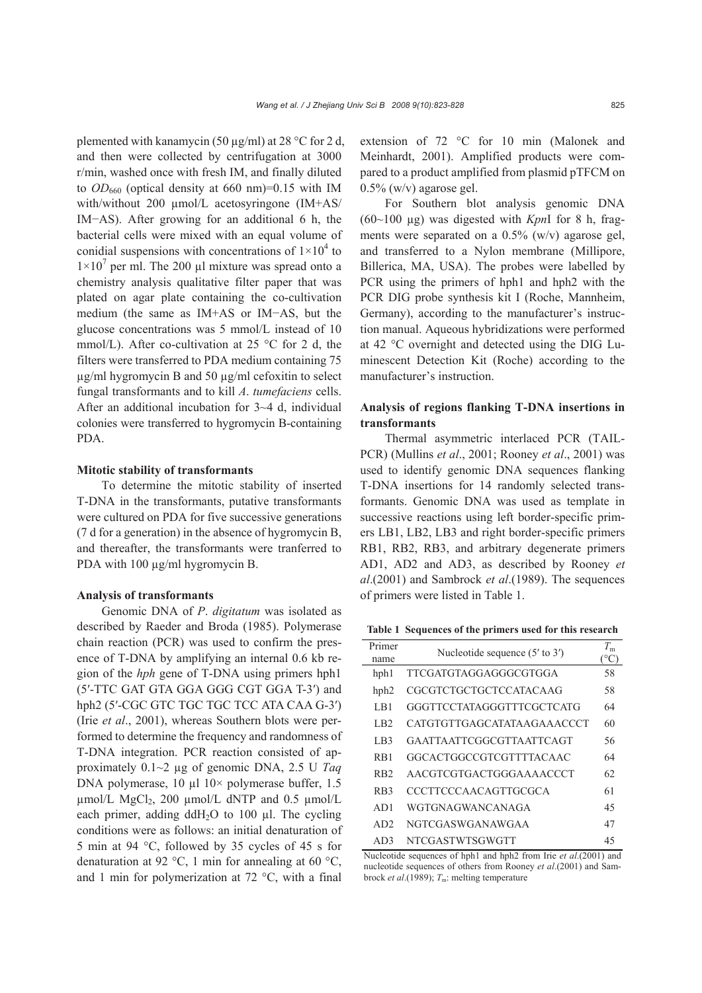plemented with kanamycin (50  $\mu$ g/ml) at 28 °C for 2 d, and then were collected by centrifugation at 3000 r/min, washed once with fresh IM, and finally diluted to  $OD_{660}$  (optical density at 660 nm)=0.15 with IM with/without 200 µmol/L acetosyringone (IM+AS/ IM−AS). After growing for an additional 6 h, the bacterial cells were mixed with an equal volume of conidial suspensions with concentrations of  $1\times10^4$  to  $1\times10^{7}$  per ml. The 200 µl mixture was spread onto a chemistry analysis qualitative filter paper that was plated on agar plate containing the co-cultivation medium (the same as IM+AS or IM−AS, but the glucose concentrations was 5 mmol/L instead of 10 mmol/L). After co-cultivation at 25  $\degree$ C for 2 d, the filters were transferred to PDA medium containing 75  $\mu$ g/ml hygromycin B and 50  $\mu$ g/ml cefoxitin to select fungal transformants and to kill *A*. *tumefaciens* cells. After an additional incubation for 3~4 d, individual colonies were transferred to hygromycin B-containing PDA.

## **Mitotic stability of transformants**

To determine the mitotic stability of inserted T-DNA in the transformants, putative transformants were cultured on PDA for five successive generations (7 d for a generation) in the absence of hygromycin B, and thereafter, the transformants were tranferred to PDA with 100  $\mu$ g/ml hygromycin B.

#### **Analysis of transformants**

Genomic DNA of *P*. *digitatum* was isolated as described by Raeder and Broda (1985). Polymerase chain reaction (PCR) was used to confirm the presence of T-DNA by amplifying an internal 0.6 kb region of the *hph* gene of T-DNA using primers hph1 (5′-TTC GAT GTA GGA GGG CGT GGA T-3′) and hph2 (5′-CGC GTC TGC TGC TCC ATA CAA G-3′) (Irie *et al*., 2001), whereas Southern blots were performed to determine the frequency and randomness of T-DNA integration. PCR reaction consisted of approximately 0.1~2 µg of genomic DNA, 2.5 U *Taq* DNA polymerase,  $10 \mu 10 \times$  polymerase buffer, 1.5  $\mu$ mol/L MgCl<sub>2</sub>, 200  $\mu$ mol/L dNTP and 0.5  $\mu$ mol/L each primer, adding ddH<sub>2</sub>O to 100  $\mu$ l. The cycling conditions were as follows: an initial denaturation of 5 min at 94 °C, followed by 35 cycles of 45 s for denaturation at 92 °C, 1 min for annealing at 60 °C, and 1 min for polymerization at 72 °C, with a final extension of 72 °C for 10 min (Malonek and Meinhardt, 2001). Amplified products were compared to a product amplified from plasmid pTFCM on  $0.5\%$  (w/v) agarose gel.

For Southern blot analysis genomic DNA (60~100 µg) was digested with *Kpn*I for 8 h, fragments were separated on a 0.5% (w/v) agarose gel, and transferred to a Nylon membrane (Millipore, Billerica, MA, USA). The probes were labelled by PCR using the primers of hph1 and hph2 with the PCR DIG probe synthesis kit I (Roche, Mannheim, Germany), according to the manufacturer's instruction manual. Aqueous hybridizations were performed at 42 °C overnight and detected using the DIG Luminescent Detection Kit (Roche) according to the manufacturer's instruction.

## **Analysis of regions flanking T-DNA insertions in transformants**

Thermal asymmetric interlaced PCR (TAIL-PCR) (Mullins *et al*., 2001; Rooney *et al*., 2001) was used to identify genomic DNA sequences flanking T-DNA insertions for 14 randomly selected transformants. Genomic DNA was used as template in successive reactions using left border-specific primers LB1, LB2, LB3 and right border-specific primers RB1, RB2, RB3, and arbitrary degenerate primers AD1, AD2 and AD3, as described by Rooney *et al*.(2001) and Sambrock *et al*.(1989). The sequences of primers were listed in Table 1.

**Table 1 Sequences of the primers used for this research**

| Primer           | Nucleotide sequence $(5'$ to $3')$ |    |
|------------------|------------------------------------|----|
| name             |                                    |    |
| hph1             | <b>TTCGATGTAGGAGGGCGTGGA</b>       | 58 |
| hph2             | CGCGTCTGCTGCTCCATACAAG             | 58 |
| LB1              | GGGTTCCTATAGGGTTTCGCTCATG          | 64 |
| L <sub>B2</sub>  | CATGTGTTGAGCATATAAGAAACCCT         | 60 |
| LB3              | GAATTA ATTCGGCGTTA ATTCA GT        | 56 |
| $R_{R1}$         | GGCACTGGCCGTCGTTTTACAAC            | 64 |
| R <sub>B2</sub>  | AACGTCGTGACTGGGAAAACCCT            | 62 |
| R <sub>B</sub> 3 | <b>CCCTTCCCAACAGTTGCGCA</b>        | 61 |
| AD1              | WGTGNAGWANCANAGA                   | 45 |
| AD2              | NGTCGASWGANAWGAA                   | 47 |
| AD3              | NTCGASTWTSGWGTT                    | 45 |

Nucleotide sequences of hph1 and hph2 from Irie *et al*.(2001) and nucleotide sequences of others from Rooney *et al*.(2001) and Sambrock *et al.*(1989);  $T_m$ : melting temperature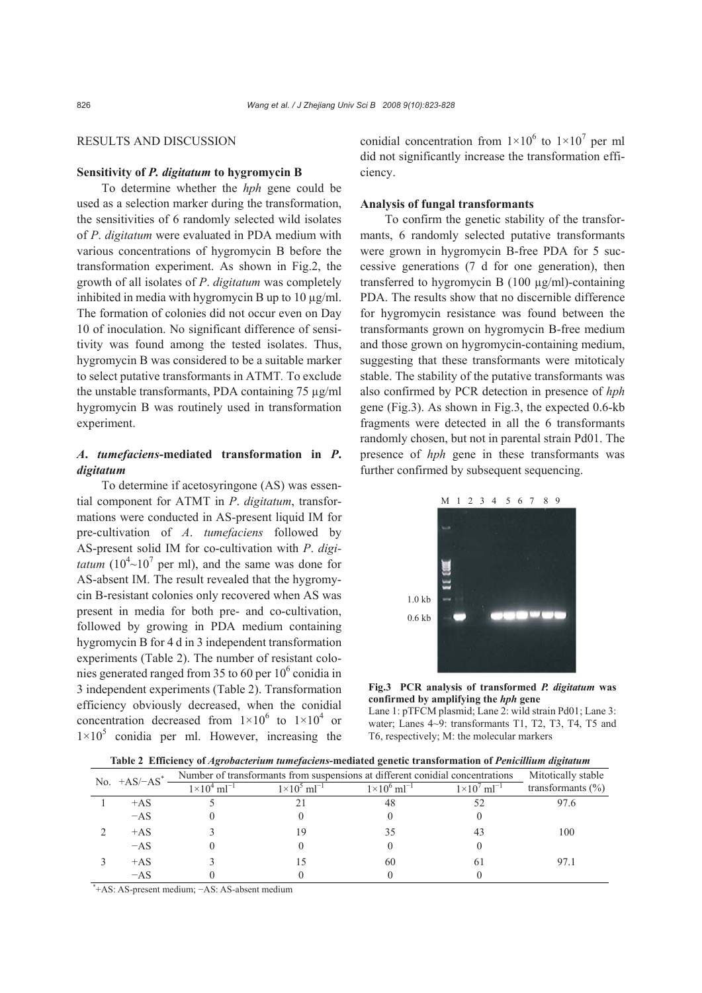## RESULTS AND DISCUSSION

## **Sensitivity of** *P. digitatum* **to hygromycin B**

To determine whether the *hph* gene could be used as a selection marker during the transformation, the sensitivities of 6 randomly selected wild isolates of *P*. *digitatum* were evaluated in PDA medium with various concentrations of hygromycin B before the transformation experiment. As shown in Fig.2, the growth of all isolates of *P*. *digitatum* was completely inhibited in media with hygromycin B up to  $10 \mu g/ml$ . The formation of colonies did not occur even on Day 10 of inoculation. No significant difference of sensitivity was found among the tested isolates. Thus, hygromycin B was considered to be a suitable marker to select putative transformants in ATMT*.* To exclude the unstable transformants, PDA containing 75 µg/ml hygromycin B was routinely used in transformation experiment.

## *A***.** *tumefaciens***-mediated transformation in** *P***.**  *digitatum*

To determine if acetosyringone (AS) was essential component for ATMT in *P*. *digitatum*, transformations were conducted in AS-present liquid IM for pre-cultivation of *A*. *tumefaciens* followed by AS-present solid IM for co-cultivation with *P*. *digitatum*  $(10^4 \sim 10^7$  per ml), and the same was done for AS-absent IM. The result revealed that the hygromycin B-resistant colonies only recovered when AS was present in media for both pre- and co-cultivation, followed by growing in PDA medium containing hygromycin B for 4 d in 3 independent transformation experiments (Table 2). The number of resistant colonies generated ranged from 35 to 60 per  $10^6$  conidia in 3 independent experiments (Table 2). Transformation efficiency obviously decreased, when the conidial concentration decreased from  $1 \times 10^6$  to  $1 \times 10^4$  or  $1\times10^{5}$  conidia per ml. However, increasing the

conidial concentration from  $1 \times 10^6$  to  $1 \times 10^7$  per ml did not significantly increase the transformation efficiency.

## **Analysis of fungal transformants**

To confirm the genetic stability of the transformants, 6 randomly selected putative transformants were grown in hygromycin B-free PDA for 5 successive generations (7 d for one generation), then transferred to hygromycin B (100 µg/ml)-containing PDA. The results show that no discernible difference for hygromycin resistance was found between the transformants grown on hygromycin B-free medium and those grown on hygromycin-containing medium, suggesting that these transformants were mitoticaly stable. The stability of the putative transformants was also confirmed by PCR detection in presence of *hph* gene (Fig.3). As shown in Fig.3, the expected 0.6-kb fragments were detected in all the 6 transformants randomly chosen, but not in parental strain Pd01. The presence of *hph* gene in these transformants was further confirmed by subsequent sequencing.



**Fig.3 PCR analysis of transformed** *P. digitatum* **was confirmed by amplifying the** *hph* **gene** Lane 1: pTFCM plasmid; Lane 2: wild strain Pd01; Lane 3: water; Lanes 4~9: transformants T1, T2, T3, T4, T5 and T6, respectively; M: the molecular markers

|                                                            | No. $+AS/-AS^*$ | Number of transformants from suspensions at different conidial concentrations |                            |                           | Mitotically stable          |                       |
|------------------------------------------------------------|-----------------|-------------------------------------------------------------------------------|----------------------------|---------------------------|-----------------------------|-----------------------|
|                                                            |                 | $1\times10^{4}$ m $^{-1}$                                                     | $1 \times 10^5$ m $l^{-1}$ | $1\times10^{6}$ m $^{-1}$ | $1 \times 10^{7}$ m $^{-1}$ | transformants $(\% )$ |
|                                                            | $+AS$           |                                                                               |                            | 48                        | 52                          | 97.6                  |
|                                                            | $-AS$           |                                                                               |                            |                           |                             |                       |
|                                                            | $+AS$           |                                                                               | 19                         | 35                        |                             | 100                   |
|                                                            | $-AS$           |                                                                               |                            |                           |                             |                       |
|                                                            | $+AS$           |                                                                               | 15                         | 60                        | 61                          | 97.1                  |
|                                                            | $-AS$           |                                                                               |                            |                           |                             |                       |
| <sup>+</sup> +AS: AS-present medium; -AS: AS-absent medium |                 |                                                                               |                            |                           |                             |                       |

**Table 2 Efficiency of** *Agrobacterium tumefaciens***-mediated genetic transformation of** *Penicillium digitatum*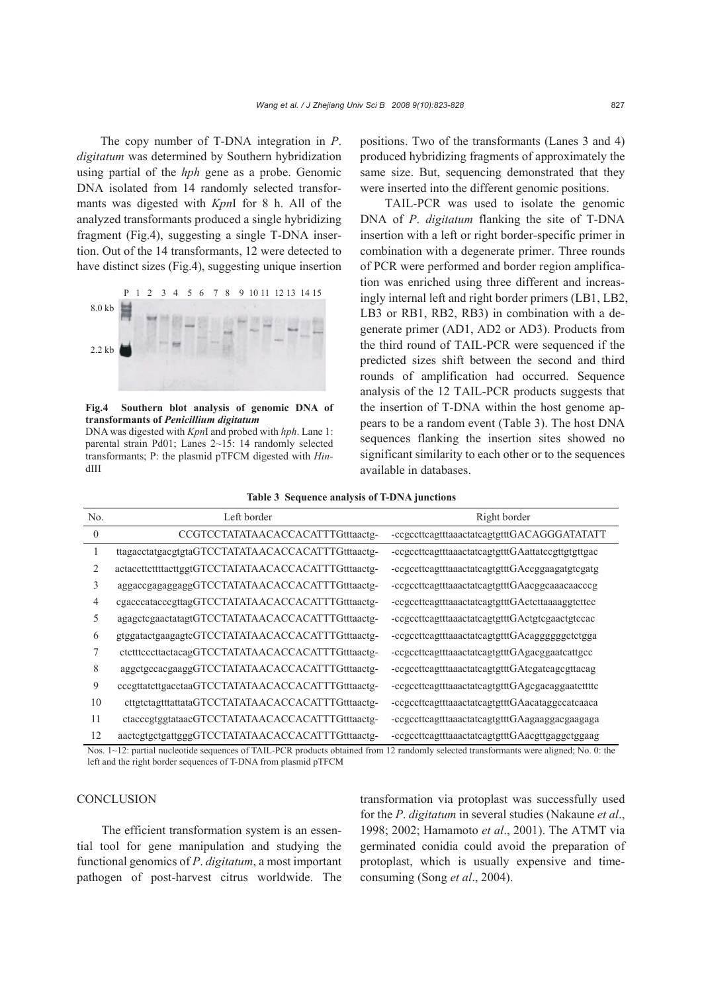The copy number of T-DNA integration in *P*. *digitatum* was determined by Southern hybridization using partial of the *hph* gene as a probe. Genomic DNA isolated from 14 randomly selected transformants was digested with *Kpn*I for 8 h. All of the analyzed transformants produced a single hybridizing fragment (Fig.4), suggesting a single T-DNA insertion. Out of the 14 transformants, 12 were detected to have distinct sizes (Fig.4), suggesting unique insertion



**Fig.4 Southern blot analysis of genomic DNA of transformants of** *Penicillium digitatum* 

DNA was digested with *Kpn*I and probed with *hph*. Lane 1: parental strain Pd01; Lanes 2~15: 14 randomly selected transformants; P: the plasmid pTFCM digested with *Hin*dIII

positions. Two of the transformants (Lanes 3 and 4) produced hybridizing fragments of approximately the same size. But, sequencing demonstrated that they were inserted into the different genomic positions.

TAIL-PCR was used to isolate the genomic DNA of *P*. *digitatum* flanking the site of T-DNA insertion with a left or right border-specific primer in combination with a degenerate primer. Three rounds of PCR were performed and border region amplification was enriched using three different and increasingly internal left and right border primers (LB1, LB2, LB3 or RB1, RB2, RB3) in combination with a degenerate primer (AD1, AD2 or AD3). Products from the third round of TAIL-PCR were sequenced if the predicted sizes shift between the second and third rounds of amplification had occurred. Sequence analysis of the 12 TAIL-PCR products suggests that the insertion of T-DNA within the host genome appears to be a random event (Table 3). The host DNA sequences flanking the insertion sites showed no significant similarity to each other or to the sequences available in databases.

#### **Table 3 Sequence analysis of T-DNA junctions**

| No.              | Left border                                         | Right border                                      |
|------------------|-----------------------------------------------------|---------------------------------------------------|
| $\boldsymbol{0}$ | CCGTCCTATATAACACCACATTTGtttaactg-                   | -ccgccttcagtttaaactatcagtgtttGACAGGGATATATT       |
|                  | ttagacctatgacgtgtaGTCCTATATAACACCACATTTGtttaactg-   | -ccgccttcagtttaaactatcagtgtttGAattatccgttgtgttgac |
| 2                | actaccttcttttacttggtGTCCTATATAACACCACATTTGtttaactg- | -ccgccttcagtttaaactatcagtgtttGAccggaagatgtcgatg   |
| 3                | aggaccgagaggggGTCCTATATAACACCACATTTGtttaactg-       | -ccgccttcagtttaaactatcagtgtttGAacggcaaacaacccg    |
| 4                | cgacccatacccgttagGTCCTATATAACACCACATTTGtttaactg-    | -ccgccttcagtttaaactatcagtgtttGActcttaaaaggtcttcc  |
| 5                | agagctcgaactatagtGTCCTATATAACACCACATTTGtttaactg-    | -ccgccttcagtttaaactatcagtgtttGActgtcgaactgtccac   |
| 6                | gtggatactgaagagtcGTCCTATATAACACCACATTTGtttaactg-    | -ccgccttcagtttaaactatcagtgtttGAcagggggggctctgga   |
| 7                | ctctttcccttactacagGTCCTATATAACACCACATTTGtttaactg-   | -ccgccttcagtttaaactatcagtgtttGAgacggaatcattgcc    |
| 8                | aggctgccacgaaggGTCCTATATAACACCACATTTGtttaactg-      | -ccgccttcagtttaaactatcagtgtttGAtcgatcagcgttacag   |
| 9                | cccgttatcttgacctaaGTCCTATATAACACCACATTTGtttaactg-   | -ccgccttcagtttaaactatcagtgtttGAgcgacaggaatcttttc  |
| 10               | cttgtctagtttattataGTCCTATATAACACCACATTTGtttaactg-   | -ccgccttcagtttaaactatcagtgtttGAacataggccatcaaca   |
| 11               | ctacccgtggtataacGTCCTATATAACACCACATTTGtttaactg-     | -ccgccttcagtttaaactatcagtgtttGAagaaggacgaagaga    |
| 12               | aactcgtgctgattgggGTCCTATATAACACCACATTTGtttaactg-    | -ccgccttcagtttaaactatcagtgtttGAacgttgaggctggaag   |

Nos.  $1~12$ : partial nucleotide sequences of TAIL-PCR products obtained from 12 randomly selected transformants were aligned; No. 0: the left and the right border sequences of T-DNA from plasmid pTFCM

## **CONCLUSION**

The efficient transformation system is an essential tool for gene manipulation and studying the functional genomics of *P*. *digitatum*, a most important pathogen of post-harvest citrus worldwide. The transformation via protoplast was successfully used for the *P*. *digitatum* in several studies (Nakaune *et al*., 1998; 2002; Hamamoto *et al*., 2001). The ATMT via germinated conidia could avoid the preparation of protoplast, which is usually expensive and timeconsuming (Song *et al*., 2004).